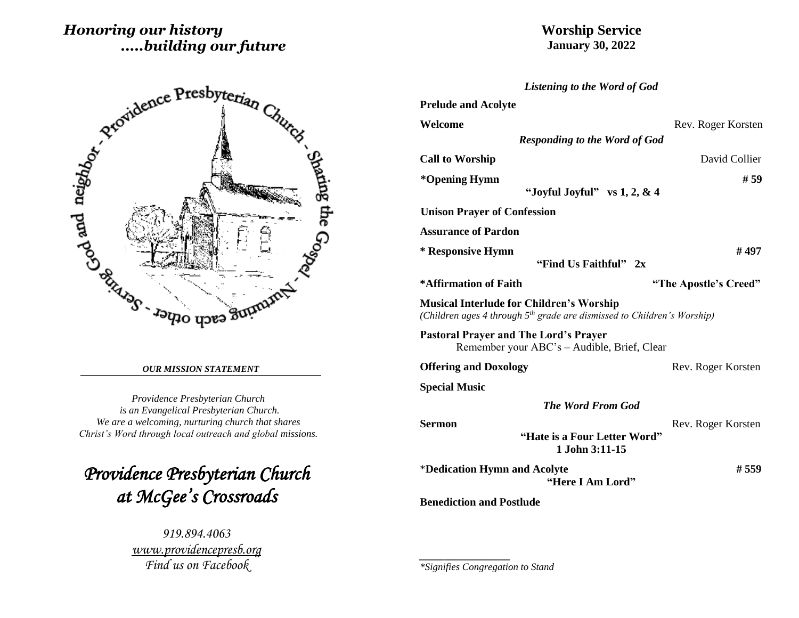# *Honoring our history .....building our future*

## **Worship Service January 30, 2022**

*Listening to the Word of God*



## *OUR MISSION STATEMENT*

*Providence Presbyterian Church is an Evangelical Presbyterian Church. We are a welcoming, nurturing church that shares Christ's Word through local outreach and global missions.*

*Providence Presbyterian Church at McGee's Crossroads* 

> *919.894.4063 [www.providencepresb.org](http://www.providencepresb.org/) Find us on Facebook*

| <b>Prelude and Acolyte</b>                                                                                                   |                       |
|------------------------------------------------------------------------------------------------------------------------------|-----------------------|
|                                                                                                                              |                       |
| Welcome                                                                                                                      | Rev. Roger Korsten    |
| <b>Responding to the Word of God</b>                                                                                         |                       |
| <b>Call to Worship</b>                                                                                                       | David Collier         |
| *Opening Hymn<br>"Joyful Joyful" vs $1, 2, \& 4$                                                                             | # 59                  |
| <b>Unison Prayer of Confession</b>                                                                                           |                       |
| <b>Assurance of Pardon</b>                                                                                                   |                       |
| * Responsive Hymn<br>"Find Us Faithful" 2x                                                                                   | # 497                 |
| *Affirmation of Faith                                                                                                        | "The Apostle's Creed" |
| <b>Musical Interlude for Children's Worship</b><br>(Children ages 4 through $5th$ grade are dismissed to Children's Worship) |                       |
| <b>Pastoral Prayer and The Lord's Prayer</b><br>Remember your ABC's – Audible, Brief, Clear                                  |                       |
| <b>Offering and Doxology</b>                                                                                                 | Rev. Roger Korsten    |
| <b>Special Music</b>                                                                                                         |                       |
| <b>The Word From God</b>                                                                                                     |                       |
| <b>Sermon</b>                                                                                                                | Rev. Roger Korsten    |
| "Hate is a Four Letter Word"<br>1 John 3:11-15                                                                               |                       |
| *Dedication Hymn and Acolyte<br>"Here I Am Lord"                                                                             | #559                  |
| <b>Benediction and Postlude</b>                                                                                              |                       |

*\*Signifies Congregation to Stand*

*\_\_\_\_\_\_\_\_\_\_\_\_\_\_\_\_\_\_*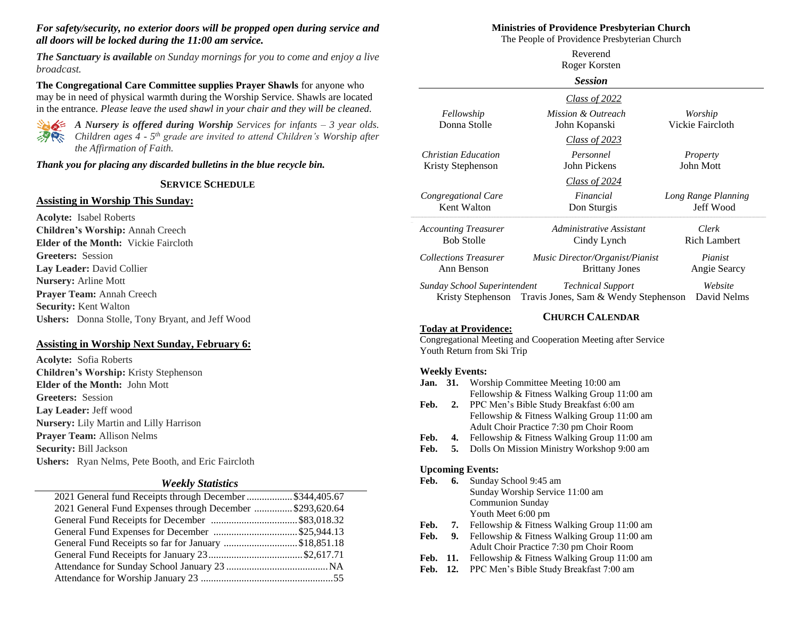## *For safety/security, no exterior doors will be propped open during service and all doors will be locked during the 11:00 am service.*

*The Sanctuary is available on Sunday mornings for you to come and enjoy a live broadcast.*

**The Congregational Care Committee supplies Prayer Shawls** for anyone who may be in need of physical warmth during the Worship Service. Shawls are located in the entrance. *Please leave the used shawl in your chair and they will be cleaned.*



*A Nursery is offered during Worship Services for infants – 3 year olds. Children ages 4 - 5 th grade are invited to attend Children's Worship after the Affirmation of Faith.*

*Thank you for placing any discarded bulletins in the blue recycle bin.*

#### **SERVICE SCHEDULE**

#### **Assisting in Worship This Sunday:**

**Acolyte:** Isabel Roberts **Children's Worship:** Annah Creech **Elder of the Month:** Vickie Faircloth **Greeters:** Session **Lay Leader:** David Collier **Nursery:** Arline Mott **Prayer Team:** Annah Creech **Security:** Kent Walton **Ushers:** Donna Stolle, Tony Bryant, and Jeff Wood

## **Assisting in Worship Next Sunday, February 6:**

**Acolyte:** Sofia Roberts **Children's Worship:** Kristy Stephenson **Elder of the Month:** John Mott **Greeters:** Session **Lay Leader:** Jeff wood **Nursery:** Lily Martin and Lilly Harrison **Prayer Team:** Allison Nelms **Security:** Bill Jackson **Ushers:** Ryan Nelms, Pete Booth, and Eric Faircloth

## *Weekly Statistics*

| 2021 General fund Receipts through December  \$344,405.67 |  |
|-----------------------------------------------------------|--|
| 2021 General Fund Expenses through December  \$293,620.64 |  |
|                                                           |  |
| General Fund Expenses for December \$25,944.13            |  |
| General Fund Receipts so far for January \$18,851.18      |  |
|                                                           |  |
|                                                           |  |
|                                                           |  |
|                                                           |  |

#### **Ministries of Providence Presbyterian Church**

The People of Providence Presbyterian Church Reverend

| Roger Korsten<br><b>Session</b> |                                                        |                     |
|---------------------------------|--------------------------------------------------------|---------------------|
|                                 |                                                        |                     |
| Fellowship                      | Mission & Outreach                                     | Worship             |
| Donna Stolle                    | John Kopanski                                          | Vickie Faircloth    |
|                                 | <b>Class of 2023</b>                                   |                     |
| Christian Education             | Personnel                                              | Property            |
| Kristy Stephenson               | John Pickens                                           | John Mott           |
|                                 | <u>Class of 2024</u>                                   |                     |
| Congregational Care             | Financial                                              | Long Range Planning |
| Kent Walton                     | Don Sturgis                                            | Jeff Wood           |
| <b>Accounting Treasurer</b>     | Administrative Assistant                               | Clerk               |
| <b>Bob Stolle</b>               | Cindy Lynch                                            | <b>Rich Lambert</b> |
| <b>Collections Treasurer</b>    | Music Director/Organist/Pianist                        | Pianist             |
| Ann Benson                      | <b>Brittany Jones</b>                                  | Angie Searcy        |
| Sunday School Superintendent    | <b>Technical Support</b>                               | Website             |
|                                 | Kristy Stephenson Travis Jones, Sam & Wendy Stephenson | David Nelms         |

## **CHURCH CALENDAR**

#### **Today at Providence:** Congregational Meeting and Cooperation Meeting after Service Youth Return from Ski Trip

#### **Weekly Events:**

- **Jan. 31.** Worship Committee Meeting 10:00 am Fellowship & Fitness Walking Group 11:00 am
- **Feb. 2.** PPC Men's Bible Study Breakfast 6:00 am Fellowship & Fitness Walking Group 11:00 am Adult Choir Practice 7:30 pm Choir Room
- Feb. 4. Fellowship & Fitness Walking Group 11:00 am
- **Feb. 5.** Dolls On Mission Ministry Workshop 9:00 am

#### **Upcoming Events:**

- **Feb. 6.** Sunday School 9:45 am Sunday Worship Service 11:00 am Communion Sunday Youth Meet 6:00 pm
- Feb. 7. Fellowship & Fitness Walking Group 11:00 am
- Feb. 9. Fellowship & Fitness Walking Group 11:00 am Adult Choir Practice 7:30 pm Choir Room
- Feb. 11. Fellowship & Fitness Walking Group 11:00 am
- **Feb. 12.** PPC Men's Bible Study Breakfast 7:00 am